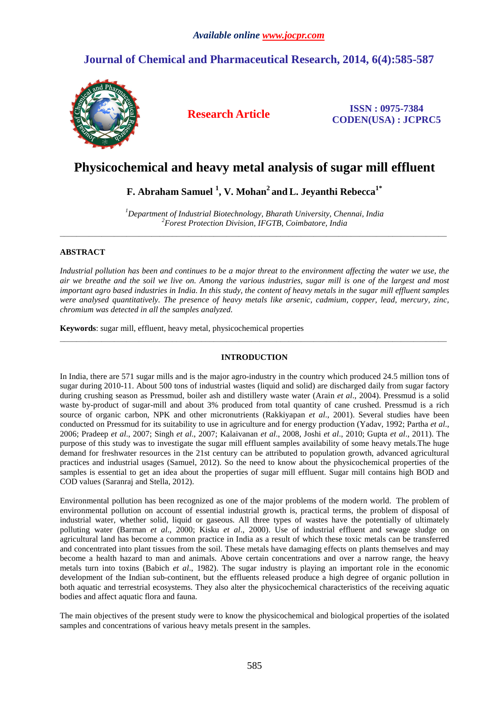# **Journal of Chemical and Pharmaceutical Research, 2014, 6(4):585-587**



**Research Article ISSN : 0975-7384 CODEN(USA) : JCPRC5**

# **Physicochemical and heavy metal analysis of sugar mill effluent**

# **F. Abraham Samuel <sup>1</sup> , V. Mohan<sup>2</sup>andL. Jeyanthi Rebecca1\***

*<sup>1</sup>Department of Industrial Biotechnology, Bharath University, Chennai, India <sup>2</sup>Forest Protection Division, IFGTB, Coimbatore, India*  \_\_\_\_\_\_\_\_\_\_\_\_\_\_\_\_\_\_\_\_\_\_\_\_\_\_\_\_\_\_\_\_\_\_\_\_\_\_\_\_\_\_\_\_\_\_\_\_\_\_\_\_\_\_\_\_\_\_\_\_\_\_\_\_\_\_\_\_\_\_\_\_\_\_\_\_\_\_\_\_\_\_\_\_\_\_\_\_\_\_\_\_\_

## **ABSTRACT**

Industrial pollution has been and continues to be a major threat to the environment affecting the water we use, the *air we breathe and the soil we live on. Among the various industries, sugar mill is one of the largest and most important agro based industries in India. In this study, the content of heavy metals in the sugar mill effluent samples were analysed quantitatively. The presence of heavy metals like arsenic, cadmium, copper, lead, mercury, zinc, chromium was detected in all the samples analyzed.* 

**Keywords**: sugar mill, effluent, heavy metal, physicochemical properties

## **INTRODUCTION**

\_\_\_\_\_\_\_\_\_\_\_\_\_\_\_\_\_\_\_\_\_\_\_\_\_\_\_\_\_\_\_\_\_\_\_\_\_\_\_\_\_\_\_\_\_\_\_\_\_\_\_\_\_\_\_\_\_\_\_\_\_\_\_\_\_\_\_\_\_\_\_\_\_\_\_\_\_\_\_\_\_\_\_\_\_\_\_\_\_\_\_\_\_

In India, there are 571 sugar mills and is the major agro-industry in the country which produced 24.5 million tons of sugar during 2010-11. About 500 tons of industrial wastes (liquid and solid) are discharged daily from sugar factory during crushing season as Pressmud, boiler ash and distillery waste water (Arain *et al*., 2004). Pressmud is a solid waste by-product of sugar-mill and about 3% produced from total quantity of cane crushed. Pressmud is a rich source of organic carbon, NPK and other micronutrients (Rakkiyapan *et al*., 2001). Several studies have been conducted on Pressmud for its suitability to use in agriculture and for energy production (Yadav, 1992; Partha *et al*., 2006; Pradeep *et al*., 2007; Singh *et al*., 2007; Kalaivanan *et al*., 2008, Joshi *et al*., 2010; Gupta *et al*., 2011). The purpose of this study was to investigate the sugar mill effluent samples availability of some heavy metals.The huge demand for freshwater resources in the 21st century can be attributed to population growth, advanced agricultural practices and industrial usages (Samuel, 2012). So the need to know about the physicochemical properties of the samples is essential to get an idea about the properties of sugar mill effluent. Sugar mill contains high BOD and COD values (Saranraj and Stella, 2012).

Environmental pollution has been recognized as one of the major problems of the modern world. The problem of environmental pollution on account of essential industrial growth is, practical terms, the problem of disposal of industrial water, whether solid, liquid or gaseous. All three types of wastes have the potentially of ultimately polluting water (Barman *et al*., 2000; Kisku *et al*., 2000). Use of industrial effluent and sewage sludge on agricultural land has become a common practice in India as a result of which these toxic metals can be transferred and concentrated into plant tissues from the soil. These metals have damaging effects on plants themselves and may become a health hazard to man and animals. Above certain concentrations and over a narrow range, the heavy metals turn into toxins (Babich *et al*., 1982). The sugar industry is playing an important role in the economic development of the Indian sub-continent, but the effluents released produce a high degree of organic pollution in both aquatic and terrestrial ecosystems. They also alter the physicochemical characteristics of the receiving aquatic bodies and affect aquatic flora and fauna.

The main objectives of the present study were to know the physicochemical and biological properties of the isolated samples and concentrations of various heavy metals present in the samples.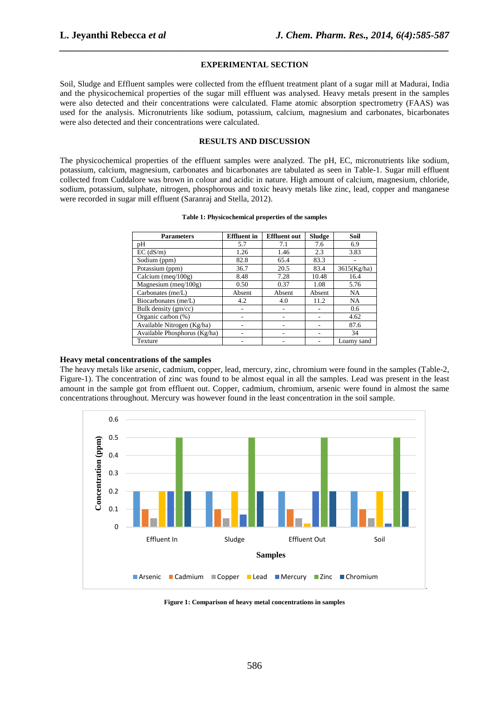### **EXPERIMENTAL SECTION**

*\_\_\_\_\_\_\_\_\_\_\_\_\_\_\_\_\_\_\_\_\_\_\_\_\_\_\_\_\_\_\_\_\_\_\_\_\_\_\_\_\_\_\_\_\_\_\_\_\_\_\_\_\_\_\_\_\_\_\_\_\_\_\_\_\_\_\_\_\_\_\_\_\_\_\_\_\_\_*

Soil, Sludge and Effluent samples were collected from the effluent treatment plant of a sugar mill at Madurai, India and the physicochemical properties of the sugar mill effluent was analysed. Heavy metals present in the samples were also detected and their concentrations were calculated. Flame atomic absorption spectrometry (FAAS) was used for the analysis. Micronutrients like sodium, potassium, calcium, magnesium and carbonates, bicarbonates were also detected and their concentrations were calculated.

## **RESULTS AND DISCUSSION**

The physicochemical properties of the effluent samples were analyzed. The pH, EC, micronutrients like sodium, potassium, calcium, magnesium, carbonates and bicarbonates are tabulated as seen in Table-1. Sugar mill effluent collected from Cuddalore was brown in colour and acidic in nature. High amount of calcium, magnesium, chloride, sodium, potassium, sulphate, nitrogen, phosphorous and toxic heavy metals like zinc, lead, copper and manganese were recorded in sugar mill effluent (Saranraj and Stella, 2012).

| <b>Parameters</b>            | <b>Effluent</b> in | <b>Effluent</b> out | Sludge | <b>Soil</b> |
|------------------------------|--------------------|---------------------|--------|-------------|
| pH                           | 5.7                | 7.1                 | 7.6    | 6.9         |
| $EC$ (dS/m)                  | 1.26               | 1.46                | 2.3    | 3.83        |
| Sodium (ppm)                 | 82.8               | 65.4                | 83.3   |             |
| Potassium (ppm)              | 36.7               | 20.5                | 83.4   | 3615(Kg/ha) |
| Calcium (meq/ $100g$ )       | 8.48               | 7.28                | 10.48  | 16.4        |
| Magnesium (meq/ $100g$ )     | 0.50               | 0.37                | 1.08   | 5.76        |
| Carbonates (me/L)            | Absent             | Absent              | Absent | <b>NA</b>   |
| Biocarbonates (me/L)         | 4.2                | 4.0                 | 11.2   | <b>NA</b>   |
| Bulk density (gm/cc)         |                    |                     |        | 0.6         |
| Organic carbon (%)           |                    |                     |        | 4.62        |
| Available Nitrogen (Kg/ha)   |                    |                     |        | 87.6        |
| Available Phosphorus (Kg/ha) |                    |                     |        | 34          |
| Texture                      |                    |                     |        | Loamy sand  |

#### **Table 1: Physicochemical properties of the samples**

### **Heavy metal concentrations of the samples**

The heavy metals like arsenic, cadmium, copper, lead, mercury, zinc, chromium were found in the samples (Table-2, Figure-1). The concentration of zinc was found to be almost equal in all the samples. Lead was present in the least amount in the sample got from effluent out. Copper, cadmium, chromium, arsenic were found in almost the same concentrations throughout. Mercury was however found in the least concentration in the soil sample.



**Figure 1: Comparison of heavy metal concentrations in samples**